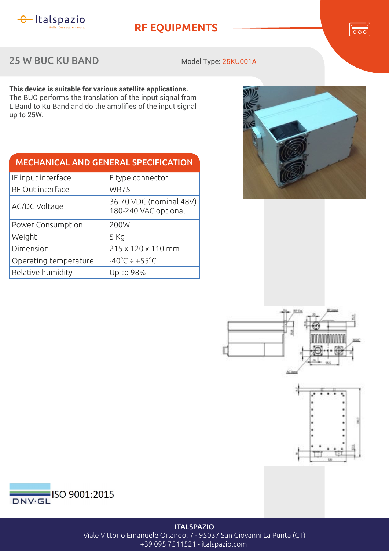

**RF EQUIPMENTS**

 $\overline{\overline{\circ\circ}}$ 

## 25 W BUC KU BAND

Model Type: 25KU001A

**This device is suitable for various satellite applications.** The BUC performs the translation of the input signal from L Band to Ku Band and do the amplifies of the input signal up to 25W.

| <b>MECHANICAL AND GENERAL SPECIFICATION</b> |                                                 |  |  |
|---------------------------------------------|-------------------------------------------------|--|--|
| IF input interface                          | F type connector                                |  |  |
| RF Out interface                            | <b>WR75</b>                                     |  |  |
| AC/DC Voltage                               | 36-70 VDC (nominal 48V)<br>180-240 VAC optional |  |  |
| Power Consumption                           | 200W                                            |  |  |
| Weight                                      | 5 Kg                                            |  |  |
| Dimension                                   | 215 x 120 x 110 mm                              |  |  |
| Operating temperature                       | $-40^{\circ}$ C ÷ +55 $^{\circ}$ C              |  |  |
| Relative humidity                           | Up to 98%                                       |  |  |









## **ITALSPAZIO** Viale Vittorio Emanuele Orlando, 7 - 95037 San Giovanni La Punta (CT) +39 095 7511521 - italspazio.com